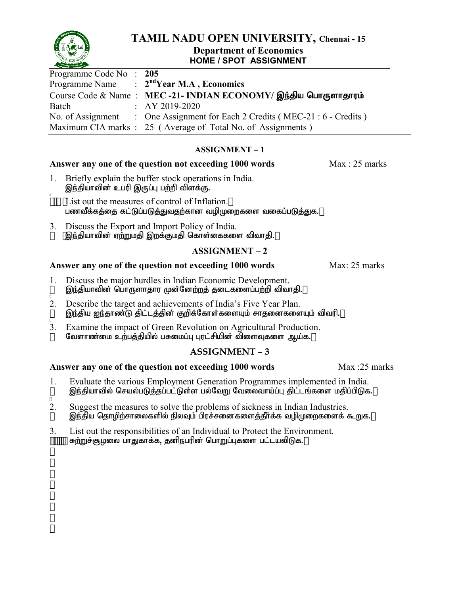

## **TAMIL NADU OPEN UNIVERSITY, Chennai - 15**

#### **Department of Economics HOME / SPOT ASSIGNMENT**

| Programme Code No: 205 |                                                                              |
|------------------------|------------------------------------------------------------------------------|
|                        | Programme Name $\therefore$ 2 <sup>nd</sup> Year M.A, Economics              |
|                        | Course Code & Name: MEC-21- INDIAN ECONOMY/ இந்திய பொருளாதாரம்               |
| Batch                  | $\therefore$ AY 2019-2020                                                    |
|                        | No. of Assignment : One Assignment for Each 2 Credits (MEC-21 : 6 - Credits) |
|                        | Maximum CIA marks : 25 (Average of Total No. of Assignments)                 |

#### **ASSIGNMENT – 1**

#### **Answer any one of the question not exceeding 1000 words** Max : 25 marks

- 1. Briefly explain the buffer stock operations in India. இந்தியாவின் உபரி இருப்பு பற்றி விளக்கு.
- 2. List out the measures of control of Inflation. பணவீக்கத்தை கட்டுப்படுத்துவதற்கான வழிமுறைகளை வகைப்படுத்துக.
- 3. Discuss the Export and Import Policy of India. இந்தியாவின் ஏற்றுமதி இறக்குமதி கொள்கைகளை விவாதி.

#### **ASSIGNMENT – 2**

#### **Answer any one of the question not exceeding 1000 words** Max: 25 marks

- 1. Discuss the major hurdles in Indian Economic Development. <u>இந்தி</u>யாவின் பொருளாதார முன்னேற்றத் தடைகளைப்பற்றி விவாதி.
- 2. Describe the target and achievements of India's Five Year Plan. இந்திய ஐந்தாண்டு திட்டத்தின் குறிக்கோள்களையும் சாதனைகளையும் விவரி.
- 3. Examine the impact of Green Revolution on Agricultural Production. வேளாண்மை உ<u>ற்்பத்தி</u>யில் பசுமைப்பு புரட்சியின் விளைவுகளை ஆய்க.

#### **ASSIGNMENT – 3**

- 1. Evaluate the various Employment Generation Programmes implemented in India. <u>இந்தி</u>யாவில் செயல்படுத்தப்பட்டுள்ள பல்வேறு வேலைவாய்ப்பு திட்டங்களை மதிப்பிடுக.
- 2. Suggest the measures to solve the problems of sickness in Indian Industries. இந்திய தொழிற்சாலைகளில் நிலவும் பிரச்சனைகளைத்தீர்க்க வழிமுறைகளைக் கூறுக.
- 3. List out the responsibilities of an Individual to Protect the Environment. சுற்றுச்சூழலை பாதுகாக்க, தனிநபரின் பொறுப்புகளை பட்டயலிடுக.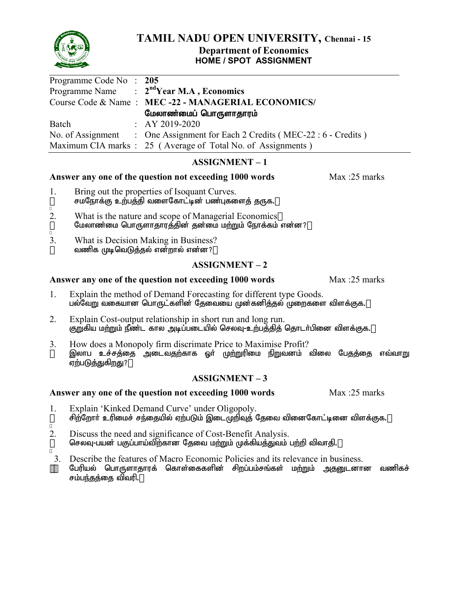

#### **TAMIL NADU OPEN UNIVERSITY, Chennai - 15 Department of Economics HOME / SPOT ASSIGNMENT**

| Programme Code No: 205 |                                                                              |
|------------------------|------------------------------------------------------------------------------|
|                        | Programme Name $\therefore$ 2 <sup>nd</sup> Year M.A, Economics              |
|                        | Course Code & Name: MEC-22 - MANAGERIAL ECONOMICS/                           |
|                        | மேலாண்மைப் பொருளாதாரம்                                                       |
| Batch                  | $\therefore$ AY 2019-2020                                                    |
|                        | No. of Assignment : One Assignment for Each 2 Credits (MEC-22 : 6 - Credits) |
|                        | Maximum CIA marks : 25 (Average of Total No. of Assignments)                 |

#### **ASSIGNMENT – 1**

#### **Answer any one of the question not exceeding 1000 words** Max :25 marks

- 1. Bring out the properties of Isoquant Curves. சமநோக்கு உற்பத்தி வளைகோட்டின் பண்புகளைத் தருக.
- 2. What is the nature and scope of Managerial Economics மேலாண்மை பொருளாதாரத்தின் தன்மை மற்றும் நோக்கம் என்ன?
- 3. What is Decision Making in Business? வணிக முடிவெடுக்கல் என்றால் என்ன?

#### **ASSIGNMENT – 2**

#### **Answer any one of the question not exceeding 1000 words** Max :25 marks

- 1. Explain the method of Demand Forecasting for different type Goods. பல்வேறு வகையான பொருட்களின் தேவையை முன்கனிக்குல் முறைகளை விளக்குக.
- 2. Explain Cost-output relationship in short run and long run. குறுகிய மற்றும் நீண்ட கால அடிப்படையில் செலவு-உற்பத்தித் தொடர்பினை விளக்குக.
- 3. How does a Monopoly firm discrimate Price to Maximise Profit? இலாப உச்சத்தை அடைவதற்காக ஓர் முற்றுரிமை நிறுவனம் விலை பேதத்தை எவ்வா<u>று</u> ஏற்படுத்துகிறது?

#### **ASSIGNMENT – 3**

- 1. Explain 'Kinked Demand Curve' under Oligopoly. சிற்றோர் உரிமைச் சந்தையில் ஏற்படும் இடைமுறிவுத் தேவை வினைகோட்டினை விளக்குக.
- 2. Discuss the need and significance of Cost-Benefit Analysis. செலவு-பயன் பகுப்பாய்விற்கான தேவை மற்றும் முக்கியத்துவம் பற்றி விவாதி.
- 3. Describe the features of Macro Economic Policies and its relevance in business. பேரியல் பொருளாதாரக் கொள்கைகளின் சிறப்பம்சங்கள் மற்றும் அதனுடனான வணிகச் சம்ப<u>ந்த</u>த்தை விவரி.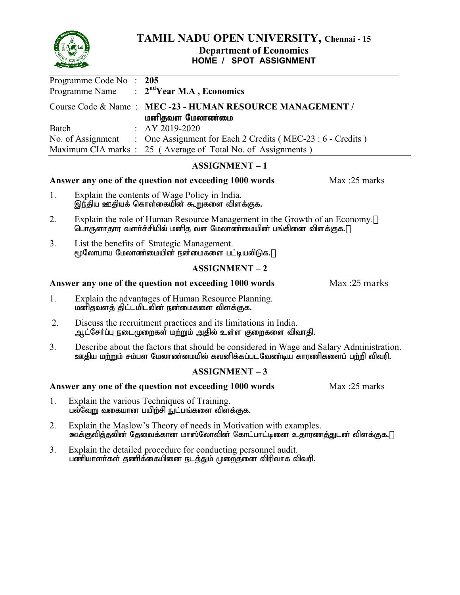

# **TAMIL NADU OPEN UNIVERSITY, Chennai - 15**

#### **Department of Economics HOME / SPOT ASSIGNMENT**

| Programme Code No: 205 | Programme Name : $2ndYear M.A$ , Economics                                   |
|------------------------|------------------------------------------------------------------------------|
|                        | Course Code & Name: MEC-23 - HUMAN RESOURCE MANAGEMENT /<br>மனிதவள மேலாண்மை  |
| Batch                  | $\therefore$ AY 2019-2020                                                    |
|                        | No. of Assignment : One Assignment for Each 2 Credits (MEC-23 : 6 - Credits) |
|                        | Maximum CIA marks : 25 (Average of Total No. of Assignments)                 |

#### **ASSIGNMENT – 1**

#### Answer any one of the question not exceeding 1000 words Max :25 marks

- 1. Explain the contents of Wage Policy in India. ,e;jpa Cjpaf; nfhs;ifapd; \$Wfis tpsf;Ff.
- 2. Explain the role of Human Resource Management in the Growth of an Economy. பொருளாதார வளர்ச்சியில் மனித வள மேலாண்மையின் பங்கினை விளக்குக.
- 3. List the benefits of Strategic Management. மூலோபாய மேலாண்மையின் நன்மைகளை பட்டியலிடுக.

#### **ASSIGNMENT – 2**

#### Answer any one of the question not exceeding 1000 words Max :25 marks

- 1. Explain the advantages of Human Resource Planning. மனிதவளத் திட்டமிடலின் நன்மைகளை விளக்குக.
- 2. Discuss the recruitment practices and its limitations in India. ஆட்சேர்ப்பு நடைமுறைகள் மற்றும் அதில் உள்ள குறைகளை விவாதி.
- 3. Describe about the factors that should be considered in Wage and Salary Administration. ஊதிய மற்றும் சம்பள மேலாண்மையில் கவனிக்கப்படவேண்டிய காரணிகளைப் பற்றி விவரி.

#### **ASSIGNMENT – 3**

- 1. Explain the various Techniques of Training. பல்வேறு வகையான பயிற்சி நுட்பங்களை விளக்குக.
- 2. Explain the Maslow's Theory of needs in Motivation with examples. ஊக்குவித்தலின் தேவைக்கான மாஸ்லோவின் கோட்பாட்டினை உதாரணத்துடன் விளக்குக.
- 3. Explain the detailed procedure for conducting personnel audit. பணியாளர்கள் தணிக்கையினை நடத்தும் முறைத்னை விரிவாக விவரி.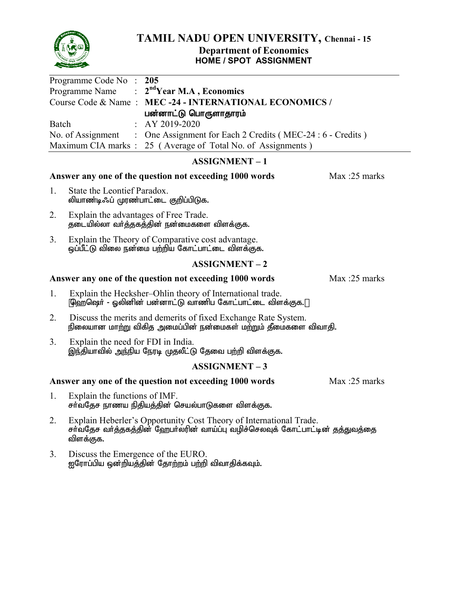

## **HOME / SPOT ASSIGNMENT**

| Programme Code No: 205                                                       |
|------------------------------------------------------------------------------|
| Programme Name : $2ndYear M.A$ , Economics                                   |
| Course Code & Name: MEC-24 - INTERNATIONAL ECONOMICS /                       |
| பன்னாட்டு பொருளாதாரம்                                                        |
| $\therefore$ AY 2019-2020                                                    |
| No. of Assignment : One Assignment for Each 2 Credits (MEC-24 : 6 - Credits) |
| Maximum CIA marks : 25 (Average of Total No. of Assignments)                 |
|                                                                              |

## **ASSIGNMENT – 1**

## Answer any one of the question not exceeding 1000 words Max :25 marks

- 1. State the Leontief Paradox. லியாண்டிஃப் முரண்பாட்டை குறிப்பிடுக.
- 2. Explain the advantages of Free Trade. ்தடையில்லா வர்த்தகத்தின் நன்மைகளை விளக்குக.
- 3. Explain the Theory of Comparative cost advantage. ஒப்பீட்டு விலை நன்மை பற்றிய கோட்பாட்டை விளக்குக.

## **ASSIGNMENT – 2**

## Answer any one of the question not exceeding 1000 words Max :25 marks

- 1. Explain the Hecksher–Ohlin theory of International trade. ஹெஷெர் - ஓலினின் பன்னாட்டு வாணிப கோட்பாட்டை விளக்குக.
- 2. Discuss the merits and demerits of fixed Exchange Rate System. நிலையான மாற்று விகித அமைப்பின் நன்மைகள் மற்றும் தீமைகளை விவாதி.
- 3. Explain the need for FDI in India. இந்தியாவில் அந்நிய நேரடி முதலீட்டு தேவை பற்றி விளக்குக.

## **ASSIGNMENT – 3**

- 1. Explain the functions of IMF. சா்வதேச நாணய நிதியத்தின் செயல்பாடுகளை விளக்குக.
- 2. Explain Heberler's Opportunity Cost Theory of International Trade. சர்வதேச வர்த்தகத்தின் ஹேபர்லரின் வாய்ப்பு வழிச்செலவுக் கோட்பாட்டின் தத்துவத்தை விளக்குக.
- 3. Discuss the Emergence of the EURO. <u>ஐரோப்பிய ஒன்றியத்தின் தோற்ற</u>ம் பற்றி விவாதிக்கவும்.